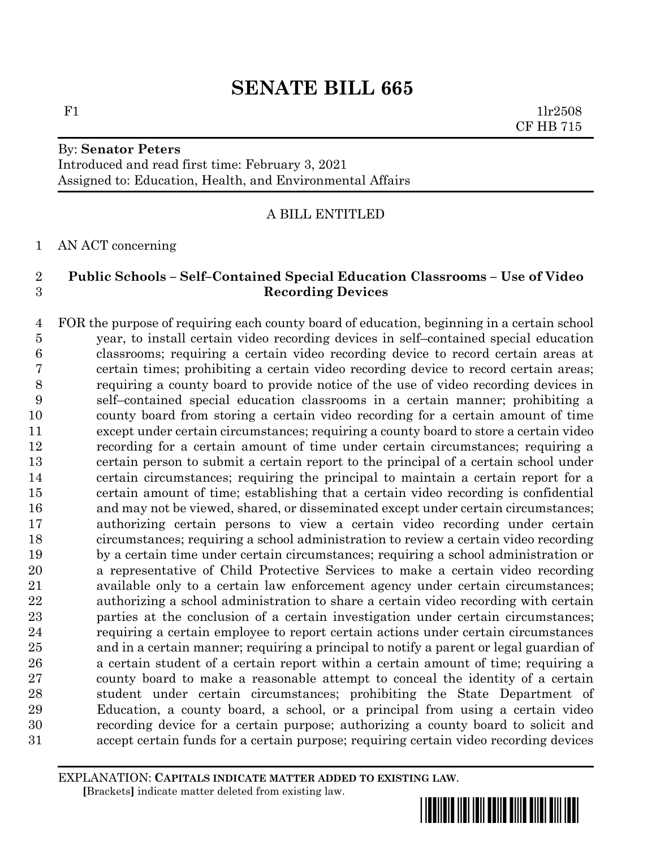# **SENATE BILL 665**

F1  $1\text{lr}2508$ CF HB 715

# By: **Senator Peters** Introduced and read first time: February 3, 2021

Assigned to: Education, Health, and Environmental Affairs

### A BILL ENTITLED

AN ACT concerning

### **Public Schools – Self–Contained Special Education Classrooms – Use of Video Recording Devices**

 FOR the purpose of requiring each county board of education, beginning in a certain school year, to install certain video recording devices in self–contained special education classrooms; requiring a certain video recording device to record certain areas at certain times; prohibiting a certain video recording device to record certain areas; requiring a county board to provide notice of the use of video recording devices in self–contained special education classrooms in a certain manner; prohibiting a county board from storing a certain video recording for a certain amount of time except under certain circumstances; requiring a county board to store a certain video recording for a certain amount of time under certain circumstances; requiring a certain person to submit a certain report to the principal of a certain school under certain circumstances; requiring the principal to maintain a certain report for a certain amount of time; establishing that a certain video recording is confidential and may not be viewed, shared, or disseminated except under certain circumstances; authorizing certain persons to view a certain video recording under certain circumstances; requiring a school administration to review a certain video recording by a certain time under certain circumstances; requiring a school administration or a representative of Child Protective Services to make a certain video recording available only to a certain law enforcement agency under certain circumstances; authorizing a school administration to share a certain video recording with certain parties at the conclusion of a certain investigation under certain circumstances; requiring a certain employee to report certain actions under certain circumstances and in a certain manner; requiring a principal to notify a parent or legal guardian of a certain student of a certain report within a certain amount of time; requiring a county board to make a reasonable attempt to conceal the identity of a certain student under certain circumstances; prohibiting the State Department of Education, a county board, a school, or a principal from using a certain video recording device for a certain purpose; authorizing a county board to solicit and accept certain funds for a certain purpose; requiring certain video recording devices

EXPLANATION: **CAPITALS INDICATE MATTER ADDED TO EXISTING LAW**.  **[**Brackets**]** indicate matter deleted from existing law.

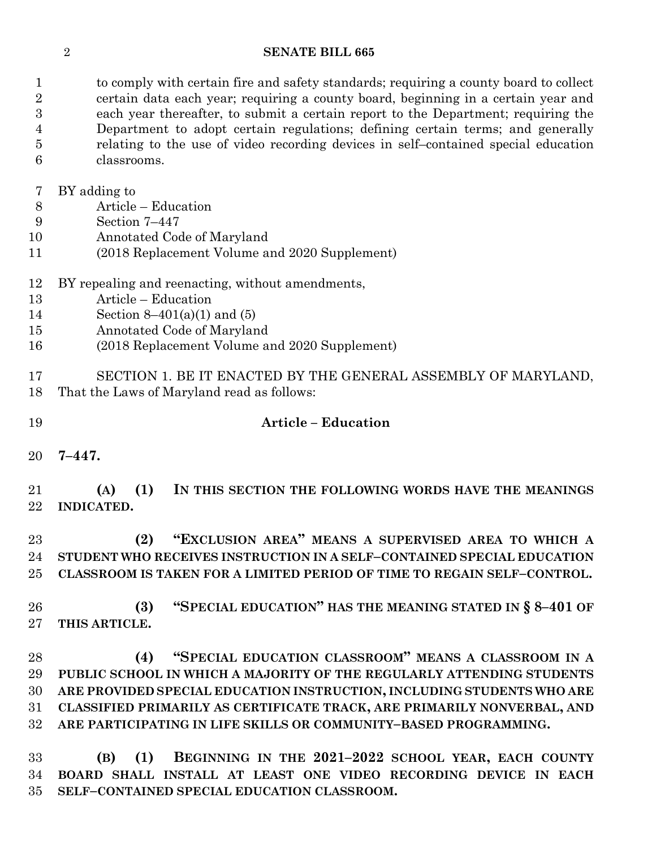#### **SENATE BILL 665**

 to comply with certain fire and safety standards; requiring a county board to collect certain data each year; requiring a county board, beginning in a certain year and each year thereafter, to submit a certain report to the Department; requiring the Department to adopt certain regulations; defining certain terms; and generally relating to the use of video recording devices in self–contained special education classrooms.

BY adding to

- Article Education
- Section 7–447
- Annotated Code of Maryland
- (2018 Replacement Volume and 2020 Supplement)
- BY repealing and reenacting, without amendments,
- Article Education
- Section 8–401(a)(1) and (5)
- Annotated Code of Maryland
- (2018 Replacement Volume and 2020 Supplement)

 SECTION 1. BE IT ENACTED BY THE GENERAL ASSEMBLY OF MARYLAND, That the Laws of Maryland read as follows:

# **Article – Education**

**7–447.**

 **(A) (1) IN THIS SECTION THE FOLLOWING WORDS HAVE THE MEANINGS INDICATED.**

 **(2) "EXCLUSION AREA" MEANS A SUPERVISED AREA TO WHICH A STUDENT WHO RECEIVES INSTRUCTION IN A SELF–CONTAINED SPECIAL EDUCATION CLASSROOM IS TAKEN FOR A LIMITED PERIOD OF TIME TO REGAIN SELF–CONTROL.**

 **(3) "SPECIAL EDUCATION" HAS THE MEANING STATED IN § 8–401 OF THIS ARTICLE.**

 **(4) "SPECIAL EDUCATION CLASSROOM" MEANS A CLASSROOM IN A PUBLIC SCHOOL IN WHICH A MAJORITY OF THE REGULARLY ATTENDING STUDENTS ARE PROVIDED SPECIAL EDUCATION INSTRUCTION, INCLUDING STUDENTS WHO ARE CLASSIFIED PRIMARILY AS CERTIFICATE TRACK, ARE PRIMARILY NONVERBAL, AND ARE PARTICIPATING IN LIFE SKILLS OR COMMUNITY–BASED PROGRAMMING.**

 **(B) (1) BEGINNING IN THE 2021–2022 SCHOOL YEAR, EACH COUNTY BOARD SHALL INSTALL AT LEAST ONE VIDEO RECORDING DEVICE IN EACH SELF–CONTAINED SPECIAL EDUCATION CLASSROOM.**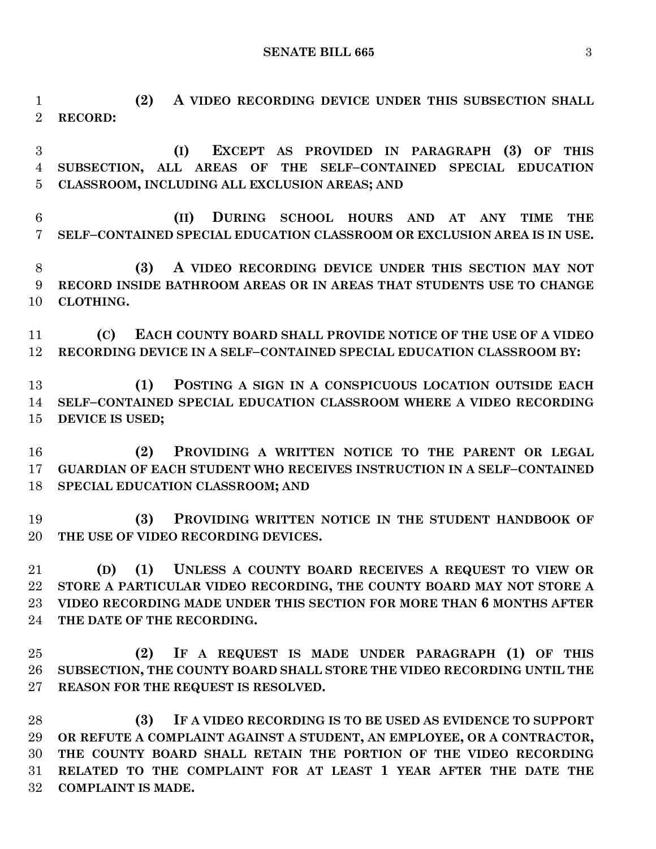**SENATE BILL 665** 3

 **(2) A VIDEO RECORDING DEVICE UNDER THIS SUBSECTION SHALL RECORD:**

 **(I) EXCEPT AS PROVIDED IN PARAGRAPH (3) OF THIS SUBSECTION, ALL AREAS OF THE SELF–CONTAINED SPECIAL EDUCATION CLASSROOM, INCLUDING ALL EXCLUSION AREAS; AND**

 **(II) DURING SCHOOL HOURS AND AT ANY TIME THE SELF–CONTAINED SPECIAL EDUCATION CLASSROOM OR EXCLUSION AREA IS IN USE.**

 **(3) A VIDEO RECORDING DEVICE UNDER THIS SECTION MAY NOT RECORD INSIDE BATHROOM AREAS OR IN AREAS THAT STUDENTS USE TO CHANGE CLOTHING.**

 **(C) EACH COUNTY BOARD SHALL PROVIDE NOTICE OF THE USE OF A VIDEO RECORDING DEVICE IN A SELF–CONTAINED SPECIAL EDUCATION CLASSROOM BY:**

 **(1) POSTING A SIGN IN A CONSPICUOUS LOCATION OUTSIDE EACH SELF–CONTAINED SPECIAL EDUCATION CLASSROOM WHERE A VIDEO RECORDING DEVICE IS USED;**

 **(2) PROVIDING A WRITTEN NOTICE TO THE PARENT OR LEGAL GUARDIAN OF EACH STUDENT WHO RECEIVES INSTRUCTION IN A SELF–CONTAINED SPECIAL EDUCATION CLASSROOM; AND**

 **(3) PROVIDING WRITTEN NOTICE IN THE STUDENT HANDBOOK OF THE USE OF VIDEO RECORDING DEVICES.**

 **(D) (1) UNLESS A COUNTY BOARD RECEIVES A REQUEST TO VIEW OR STORE A PARTICULAR VIDEO RECORDING, THE COUNTY BOARD MAY NOT STORE A VIDEO RECORDING MADE UNDER THIS SECTION FOR MORE THAN 6 MONTHS AFTER THE DATE OF THE RECORDING.**

 **(2) IF A REQUEST IS MADE UNDER PARAGRAPH (1) OF THIS SUBSECTION, THE COUNTY BOARD SHALL STORE THE VIDEO RECORDING UNTIL THE REASON FOR THE REQUEST IS RESOLVED.**

 **(3) IF A VIDEO RECORDING IS TO BE USED AS EVIDENCE TO SUPPORT OR REFUTE A COMPLAINT AGAINST A STUDENT, AN EMPLOYEE, OR A CONTRACTOR, THE COUNTY BOARD SHALL RETAIN THE PORTION OF THE VIDEO RECORDING RELATED TO THE COMPLAINT FOR AT LEAST 1 YEAR AFTER THE DATE THE COMPLAINT IS MADE.**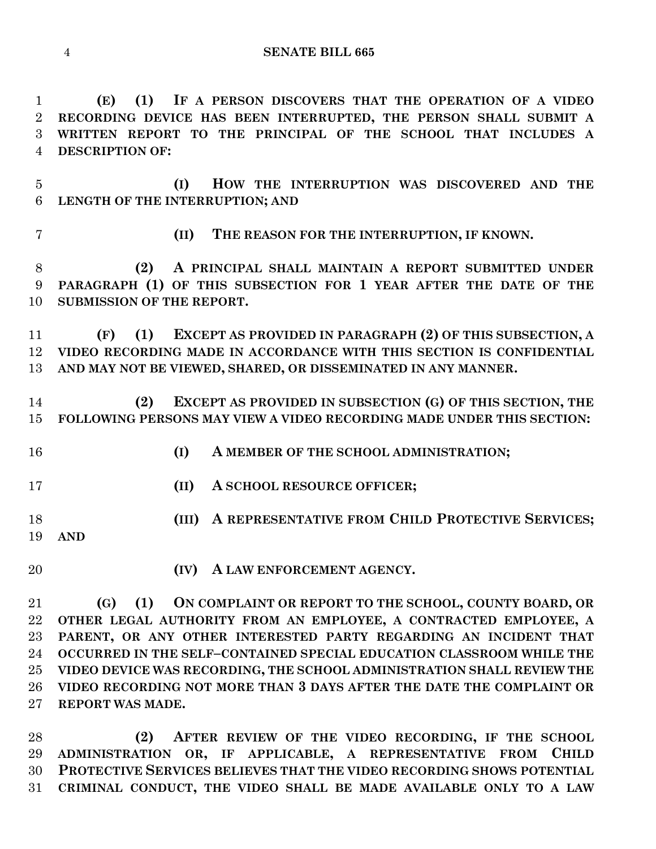**SENATE BILL 665**

 **(E) (1) IF A PERSON DISCOVERS THAT THE OPERATION OF A VIDEO RECORDING DEVICE HAS BEEN INTERRUPTED, THE PERSON SHALL SUBMIT A WRITTEN REPORT TO THE PRINCIPAL OF THE SCHOOL THAT INCLUDES A DESCRIPTION OF:**

 **(I) HOW THE INTERRUPTION WAS DISCOVERED AND THE LENGTH OF THE INTERRUPTION; AND**

**(II) THE REASON FOR THE INTERRUPTION, IF KNOWN.**

 **(2) A PRINCIPAL SHALL MAINTAIN A REPORT SUBMITTED UNDER PARAGRAPH (1) OF THIS SUBSECTION FOR 1 YEAR AFTER THE DATE OF THE SUBMISSION OF THE REPORT.**

 **(F) (1) EXCEPT AS PROVIDED IN PARAGRAPH (2) OF THIS SUBSECTION, A VIDEO RECORDING MADE IN ACCORDANCE WITH THIS SECTION IS CONFIDENTIAL AND MAY NOT BE VIEWED, SHARED, OR DISSEMINATED IN ANY MANNER.**

 **(2) EXCEPT AS PROVIDED IN SUBSECTION (G) OF THIS SECTION, THE FOLLOWING PERSONS MAY VIEW A VIDEO RECORDING MADE UNDER THIS SECTION:**

- **(I) A MEMBER OF THE SCHOOL ADMINISTRATION;**
- **(II) A SCHOOL RESOURCE OFFICER;**
- **(III) A REPRESENTATIVE FROM CHILD PROTECTIVE SERVICES; AND**
- **(IV) A LAW ENFORCEMENT AGENCY.**

 **(G) (1) ON COMPLAINT OR REPORT TO THE SCHOOL, COUNTY BOARD, OR OTHER LEGAL AUTHORITY FROM AN EMPLOYEE, A CONTRACTED EMPLOYEE, A PARENT, OR ANY OTHER INTERESTED PARTY REGARDING AN INCIDENT THAT OCCURRED IN THE SELF–CONTAINED SPECIAL EDUCATION CLASSROOM WHILE THE VIDEO DEVICE WAS RECORDING, THE SCHOOL ADMINISTRATION SHALL REVIEW THE VIDEO RECORDING NOT MORE THAN 3 DAYS AFTER THE DATE THE COMPLAINT OR REPORT WAS MADE.**

 **(2) AFTER REVIEW OF THE VIDEO RECORDING, IF THE SCHOOL ADMINISTRATION OR, IF APPLICABLE, A REPRESENTATIVE FROM CHILD PROTECTIVE SERVICES BELIEVES THAT THE VIDEO RECORDING SHOWS POTENTIAL CRIMINAL CONDUCT, THE VIDEO SHALL BE MADE AVAILABLE ONLY TO A LAW**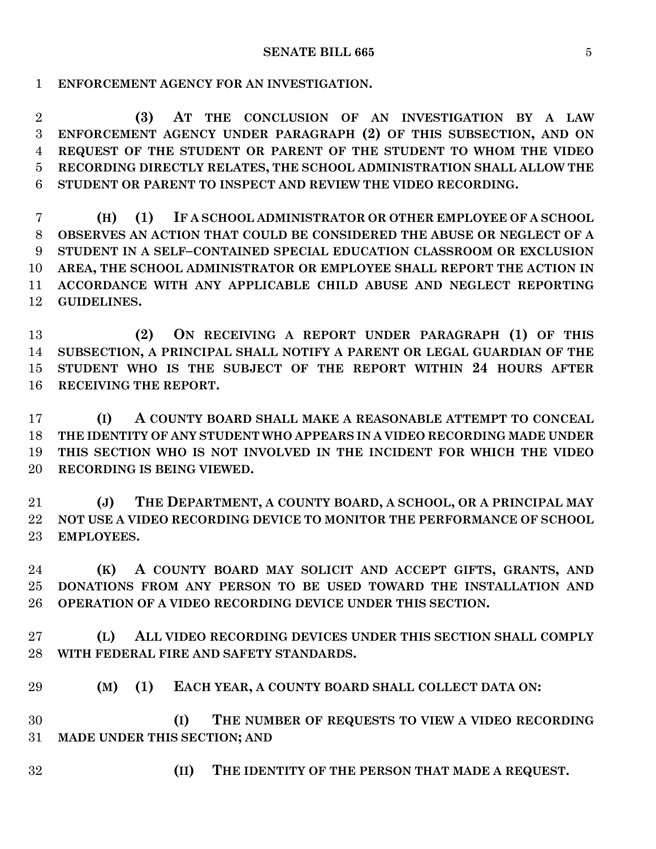**ENFORCEMENT AGENCY FOR AN INVESTIGATION.**

 **(3) AT THE CONCLUSION OF AN INVESTIGATION BY A LAW ENFORCEMENT AGENCY UNDER PARAGRAPH (2) OF THIS SUBSECTION, AND ON REQUEST OF THE STUDENT OR PARENT OF THE STUDENT TO WHOM THE VIDEO RECORDING DIRECTLY RELATES, THE SCHOOL ADMINISTRATION SHALL ALLOW THE STUDENT OR PARENT TO INSPECT AND REVIEW THE VIDEO RECORDING.**

 **(H) (1) IF A SCHOOL ADMINISTRATOR OR OTHER EMPLOYEE OF A SCHOOL OBSERVES AN ACTION THAT COULD BE CONSIDERED THE ABUSE OR NEGLECT OF A STUDENT IN A SELF–CONTAINED SPECIAL EDUCATION CLASSROOM OR EXCLUSION AREA, THE SCHOOL ADMINISTRATOR OR EMPLOYEE SHALL REPORT THE ACTION IN ACCORDANCE WITH ANY APPLICABLE CHILD ABUSE AND NEGLECT REPORTING GUIDELINES.**

 **(2) ON RECEIVING A REPORT UNDER PARAGRAPH (1) OF THIS SUBSECTION, A PRINCIPAL SHALL NOTIFY A PARENT OR LEGAL GUARDIAN OF THE STUDENT WHO IS THE SUBJECT OF THE REPORT WITHIN 24 HOURS AFTER RECEIVING THE REPORT.**

 **(I) A COUNTY BOARD SHALL MAKE A REASONABLE ATTEMPT TO CONCEAL THE IDENTITY OF ANY STUDENT WHO APPEARS IN A VIDEO RECORDING MADE UNDER THIS SECTION WHO IS NOT INVOLVED IN THE INCIDENT FOR WHICH THE VIDEO RECORDING IS BEING VIEWED.**

 **(J) THE DEPARTMENT, A COUNTY BOARD, A SCHOOL, OR A PRINCIPAL MAY NOT USE A VIDEO RECORDING DEVICE TO MONITOR THE PERFORMANCE OF SCHOOL EMPLOYEES.**

 **(K) A COUNTY BOARD MAY SOLICIT AND ACCEPT GIFTS, GRANTS, AND DONATIONS FROM ANY PERSON TO BE USED TOWARD THE INSTALLATION AND OPERATION OF A VIDEO RECORDING DEVICE UNDER THIS SECTION.**

 **(L) ALL VIDEO RECORDING DEVICES UNDER THIS SECTION SHALL COMPLY WITH FEDERAL FIRE AND SAFETY STANDARDS.**

**(M) (1) EACH YEAR, A COUNTY BOARD SHALL COLLECT DATA ON:**

 **(I) THE NUMBER OF REQUESTS TO VIEW A VIDEO RECORDING MADE UNDER THIS SECTION; AND** 

**(II) THE IDENTITY OF THE PERSON THAT MADE A REQUEST.**